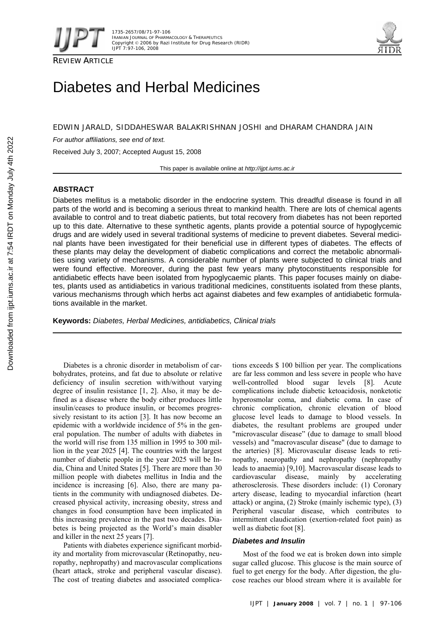





# Diabetes and Herbal Medicines

EDWIN JARALD, SIDDAHESWAR BALAKRISHNAN JOSHI and DHARAM CHANDRA JAIN

*For author affiliations, see end of text.* 

Received July 3, 2007; Accepted August 15, 2008

This paper is available online at *http://ijpt.iums.ac.ir*

# **ABSTRACT**

Diabetes mellitus is a metabolic disorder in the endocrine system. This dreadful disease is found in all parts of the world and is becoming a serious threat to mankind health. There are lots of chemical agents available to control and to treat diabetic patients, but total recovery from diabetes has not been reported up to this date. Alternative to these synthetic agents, plants provide a potential source of hypoglycemic drugs and are widely used in several traditional systems of medicine to prevent diabetes. Several medicinal plants have been investigated for their beneficial use in different types of diabetes. The effects of these plants may delay the development of diabetic complications and correct the metabolic abnormalities using variety of mechanisms. A considerable number of plants were subjected to clinical trials and were found effective. Moreover, during the past few years many phytoconstituents responsible for antidiabetic effects have been isolated from hypoglycaemic plants. This paper focuses mainly on diabetes, plants used as antidiabetics in various traditional medicines, constituents isolated from these plants, various mechanisms through which herbs act against diabetes and few examples of antidiabetic formulations available in the market.

**Keywords:** *Diabetes, Herbal Medicines, antidiabetics, Clinical trials* 

Diabetes is a chronic disorder in metabolism of carbohydrates, proteins, and fat due to absolute or relative deficiency of insulin secretion with/without varying degree of insulin resistance  $[1, 2]$ . Also, it may be defined as a disease where the body either produces little insulin/ceases to produce insulin, or becomes progressively resistant to its action [3]. It has now become an epidemic with a worldwide incidence of 5% in the general population. The number of adults with diabetes in the world will rise from 135 million in 1995 to 300 million in the year 2025 [4]. The countries with the largest number of diabetic people in the year 2025 will be India, China and United States [5]. There are more than 30 million people with diabetes mellitus in India and the incidence is increasing [6]. Also, there are many patients in the community with undiagnosed diabetes. Decreased physical activity, increasing obesity, stress and changes in food consumption have been implicated in this increasing prevalence in the past two decades. Diabetes is being projected as the World's main disabler and killer in the next 25 years [7].

Patients with diabetes experience significant morbidity and mortality from microvascular (Retinopathy, neuropathy, nephropathy) and macrovascular complications (heart attack, stroke and peripheral vascular disease). The cost of treating diabetes and associated complications exceeds \$ 100 billion per year. The complications are far less common and less severe in people who have well-controlled blood sugar levels [8]. Acute complications include diabetic ketoacidosis, nonketotic hyperosmolar coma, and diabetic coma. In case of chronic complication, chronic elevation of blood glucose level leads to damage to blood vessels. In diabetes, the resultant problems are grouped under "microvascular disease" (due to damage to small blood vessels) and "macrovascular disease" (due to damage to the arteries) [8]. Microvascular disease leads to retinopathy, neuropathy and nephropathy (nephropathy leads to anaemia) [9,10]. Macrovascular disease leads to cardiovascular disease, mainly by accelerating atherosclerosis. These disorders include: (1) Coronary artery disease, leading to myocardial infarction (heart attack) or angina, (2) Stroke (mainly ischemic type), (3) Peripheral vascular disease, which contributes to intermittent claudication (exertion-related foot pain) as well as diabetic foot [8].

# *Diabetes and Insulin*

Most of the food we eat is broken down into simple sugar called glucose. This glucose is the main source of fuel to get energy for the body. After digestion, the glucose reaches our blood stream where it is available for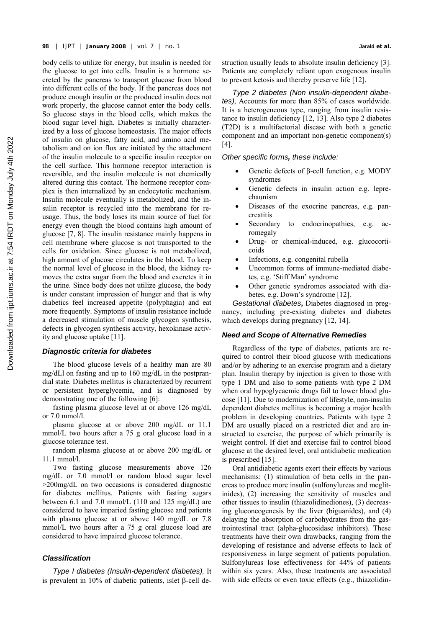body cells to utilize for energy, but insulin is needed for the glucose to get into cells. Insulin is a hormone secreted by the pancreas to transport glucose from blood into different cells of the body. If the pancreas does not produce enough insulin or the produced insulin does not work properly, the glucose cannot enter the body cells. So glucose stays in the blood cells, which makes the blood sugar level high. Diabetes is initially characterized by a loss of glucose homeostasis. The major effects of insulin on glucose, fatty acid, and amino acid metabolism and on ion flux are initiated by the attachment of the insulin molecule to a specific insulin receptor on the cell surface. This hormone receptor interaction is reversible, and the insulin molecule is not chemically altered during this contact. The hormone receptor complex is then internalized by an endocytotic mechanism. Insulin molecule eventually is metabolized, and the insulin receptor is recycled into the membrane for reusage. Thus, the body loses its main source of fuel for energy even though the blood contains high amount of glucose [ 7, 8]. The insulin resistance mainly happens in cell membrane where glucose is not transported to the cells for oxidation. Since glucose is not metabolized, high amount of glucose circulates in the blood. To keep the normal level of glucose in the blood, the kidney removes the extra sugar from the blood and excretes it in the urine. Since body does not utilize glucose, the body is under constant impression of hunger and that is why diabetics feel increased appetite (polyphagia) and eat more frequently. Symptoms of insulin resistance include a decreased stimulation of muscle glycogen synthesis, defects in glycogen synthesis activity, hexokinase activity and glucose uptake [11].

# *Diagnostic criteria for diabetes*

The blood glucose levels of a healthy man are 80 mg/dLl on fasting and up to 160 mg/dL in the postprandial state. Diabetes mellitus is characterized by recurrent or persistent hyperglycemia, and is diagnosed by demonstrating one of the following [6]:

fasting plasma glucose level at or above 126 mg/dL or 7.0 mmol/l.

plasma glucose at or above 200 mg/dL or 11.1 mmol/L two hours after a 75 g oral glucose load in a glucose tolerance test.

random plasma glucose at or above 200 mg/dL or 11.1 mmol/l.

Two fasting glucose measurements above 126 mg/dL or 7.0 mmol/l or random blood sugar level >200mg/dL on two occasions is considered diagnostic for diabetes mellitus. Patients with fasting sugars between 6.1 and 7.0 mmol/L (110 and 125 mg/dL) are considered to have imparied fasting glucose and patients with plasma glucose at or above 140 mg/dL or 7.8 mmol/L two hours after a 75 g oral glucose load are considered to have impaired glucose tolerance.

# *Classification*

*Type I diabetes (Insulin-dependent diabetes),* It is prevalent in 10% of diabetic patients, islet β-cell destruction usually leads to absolute insulin deficiency [3]. Patients are completely reliant upon exogenous insulin to prevent ketosis and thereby preserve life [ 12].

*Type 2 diabetes (Non insulin-dependent diabetes)*, Accounts for more than 85% of cases worldwide. It is a heterogeneous type, ranging from insulin resistance to insulin deficiency  $[12, 13]$ . Also type 2 diabetes (T2D) is a multifactorial disease with both a genetic component and an important non-genetic component(s)  $[4]$ .

*Other specific forms, these include:* 

- Genetic defects of β-cell function, e.g. MODY syndromes
- Genetic defects in insulin action e.g. leprechaunism
- Diseases of the exocrine pancreas, e.g. pancreatitis
- Secondary to endocrinopathies, e.g. acromegaly
- Drug- or chemical-induced, e.g. glucocorticoids
- Infections, e.g. congenital rubella
- Uncommon forms of immune-mediated diabetes, e.g. 'Stiff Man' syndrome
- Other genetic syndromes associated with diabetes, e.g. Down's syndrome [ 12].

*Gestational diabetes***,** Diabetes diagnosed in pregnancy, including pre-existing diabetes and diabetes which develops during pregnancy [12, 14].

# *Need and Scope of Alternative Remedies*

Regardless of the type of diabetes, patients are required to control their blood glucose with medications and/or by adhering to an exercise program and a dietary plan. Insulin therapy by injection is given to those with type 1 DM and also to some patients with type 2 DM when oral hypoglycaemic drugs fail to lower blood glucose [ 11]. Due to modernization of lifestyle, non-insulin dependent diabetes mellitus is becoming a major health problem in developing countries. Patients with type 2 DM are usually placed on a restricted diet and are instructed to exercise, the purpose of which primarily is weight control. If diet and exercise fail to control blood glucose at the desired level, oral antidiabetic medication is prescribed [ 15].

Oral antidiabetic agents exert their effects by various mechanisms: (1) stimulation of beta cells in the pancreas to produce more insulin (sulfonylureas and meglitinides), (2) increasing the sensitivity of muscles and other tissues to insulin (thiazolidinediones), (3) decreasing gluconeogenesis by the liver (biguanides), and (4) delaying the absorption of carbohydrates from the gastrointestinal tract (alpha-glucosidase inhibitors). These treatments have their own drawbacks, ranging from the developing of resistance and adverse effects to lack of responsiveness in large segment of patients population. Sulfonylureas lose effectiveness for 44% of patients within six years. Also, these treatments are associated with side effects or even toxic effects (e.g., thiazolidin-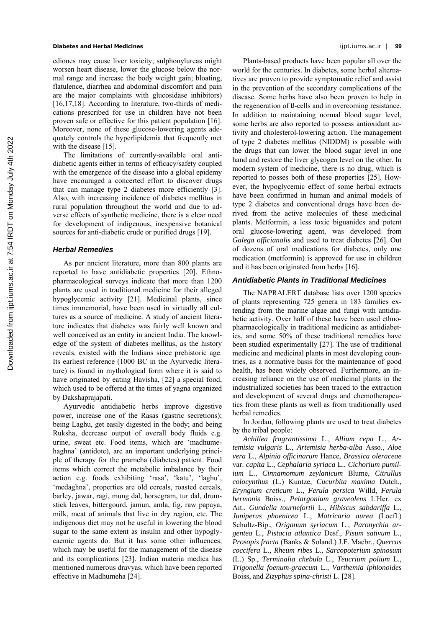## **Diabetes and Herbal Medicines** ijpt.iums.ac.ir | **99**

ediones may cause liver toxicity; sulphonylureas might worsen heart disease, lower the glucose below the normal range and increase the body weight gain; bloating, flatulence, diarrhea and abdominal discomfort and pain are the major complaints with glucosidase inhibitors) [16,17,18]. According to literature, two-thirds of medications prescribed for use in children have not been proven safe or effective for this patient population [16]. Moreover, none of these glucose-lowering agents adequately controls the hyperlipidemia that frequently met with the disease [15].

The limitations of currently-available oral antidiabetic agents either in terms of efficacy/safety coupled with the emergence of the disease into a global epidemy have encouraged a concerted effort to discover drugs that can manage type 2 diabetes more efficiently  $\boxed{3}$ . Also, with increasing incidence of diabetes mellitus in rural population throughout the world and due to adverse effects of synthetic medicine, there is a clear need for development of indigenous, inexpensive botanical sources for anti-diabetic crude or purified drugs [19].

## *Herbal Remedies*

As per nncient literature, more than 800 plants are reported to have antidiabetic properties [20]. Ethnopharmacological surveys indicate that more than 1200 plants are used in traditional medicine for their alleged hypoglycemic activity [21]. Medicinal plants, since times immemorial, have been used in virtually all cultures as a source of medicine. A study of ancient literature indicates that diabetes was fairly well known and well conceived as an entity in ancient India. The knowledge of the system of diabetes mellitus, as the history reveals, existed with the Indians since prehistoric age. Its earliest reference (1000 BC in the Ayurvedic literature) is found in mythological form where it is said to have originated by eating Havisha, [22] a special food, which used to be offered at the times of yagna organized by Dakshaprajapati.

Ayurvedic antidiabetic herbs improve digestive power, increase one of the Rasas (gastric secretions); being Laghu, get easily digested in the body; and being Ruksha, decrease output of overall body fluids e.g. urine, sweat etc. Food items, which are 'madhumehaghna' (antidote), are an important underlying principle of therapy for the prameha (diabetes) patient. Food items which correct the metabolic imbalance by their action e.g. foods exhibiting 'rasa', 'katu', 'laghu', 'medaghna', properties are old cereals, roasted cereals, barley, jawar, ragi, mung dal, horsegram, tur dal, drumstick leaves, bittergourd, jamun, amla, fig, raw papaya, milk, meat of animals that live in dry region, etc. The indigenous diet may not be useful in lowering the blood sugar to the same extent as insulin and other hypoglycaemic agents do. But it has some other influences, which may be useful for the management of the disease and its complications [23]. Indian materia medica has mentioned numerous dravyas, which have been reported effective in Madhumeha [ 24].

Plants-based products have been popular all over the world for the centuries. In diabetes, some herbal alternatives are proven to provide symptomatic relief and assist in the prevention of the secondary complications of the disease. Some herbs have also been proven to help in the regeneration of ß-cells and in overcoming resistance. In addition to maintaining normal blood sugar level, some herbs are also reported to possess antioxidant activity and cholesterol-lowering action. The management of type 2 diabetes mellitus (NIDDM) is possible with the drugs that can lower the blood sugar level in one hand and restore the liver glycogen level on the other. In modern system of medicine, there is no drug, which is reported to posses both of these properties [ 25]. However, the hypoglycemic effect of some herbal extracts have been confirmed in human and animal models of type 2 diabetes and conventional drugs have been derived from the active molecules of these medicinal plants. Metformin, a less toxic biguanides and potent oral glucose-lowering agent, was developed from *Galega officianalis* and used to treat diabetes [26]. Out of dozens of oral medications for diabetes, only one medication (metformin) is approved for use in children and it has been originated from herbs [16].

# *Antidiabetic Plants in Traditional Medicines*

The NAPRALERT database lists over 1200 species of plants representing 725 genera in 183 families extending from the marine algae and fungi with antidiabetic activity. Over half of these have been used ethnopharmacologically in traditional medicine as antidiabetics, and some 50% of these traditional remedies have been studied experimentally [27]. The use of traditional medicine and medicinal plants in most developing countries, as a normative basis for the maintenance of good health, has been widely observed. Furthermore, an increasing reliance on the use of medicinal plants in the industrialized societies has been traced to the extraction and development of several drugs and chemotherapeutics from these plants as well as from traditionally used herbal remedies.

In Jordan, following plants are used to treat diabetes by the tribal people:

*Achillea fragrantissima* L., *Allium cepa* L., *Artemisia vulgaris* L., *Artemisia herba-alba* Asso., *Aloe vera* L., *Alpinia officinarum* Hance, *Brassica oleraceae*  var. *capita* L., *Cephalaria syriaca* L., *Cichorium pumilium* L., *Cinnamomum zeylanicum* Blume, *Citrullus colocynthus* (L.) Kuntze, *Cucurbita maxima* Dutch., *Eryngium creticum* L., *Ferula persica* Willd, *Ferula hermonis* Boiss., *Pelargonium graveolens* L'Her. ex Ait., *Gundelia tournefortii* L., *Hibiscus sabdariffa* L., *Juniperus phoenicea* L., *Matricaria aurea* (Loefl.) Schultz-Bip., *Origanum syriacum* L., *Paronychia argentea* L., *Pistacia atlantica* Desf., *Pisum sativum* L., *Prosopis fracta* (Banks & Soland.) J.F. Macbr., *Quercus coccifera* L., *Rheum ribes* L., *Sarcopoterium spinosum*  (L.) Sp., *Terminalia chebula* L., *Teucrium polium* L., *Trigonella foenum-graecum* L., *Varthemia iphionoides*  Boiss, and *Zizyphus spina-christi* L. [28].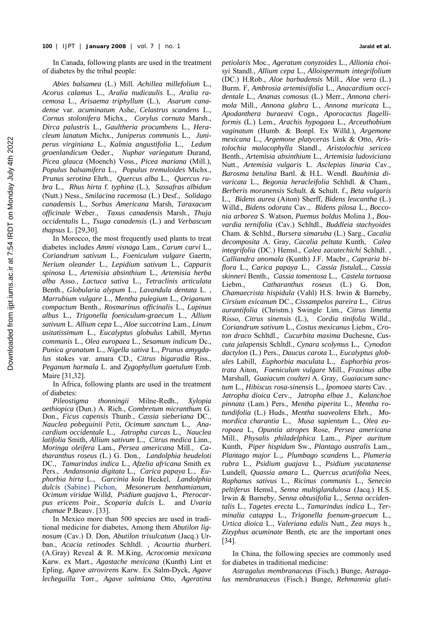In Canada, following plants are used in the treatment of diabetes by the tribal people:

*Abies balsamea* (L.) Mill. *Achillea millefolium* L., *Acorus calamus* L., *Aralia nudicaulis* L., *Aralia racemosa* L., *Arisaema triphyllum* (L.), *Asarum canadense* var. *acuminatum* Ashe, *Celastrus scandens* L., *Cornus stolonifera* Michx., *Corylus cornuta* Marsh., *Dirca palustris* L., *Gaultheria procumbens* L., *Heracleum lanatum* Michx., *Juniperus communis* L., *Juniperus virginiana* L., *Kalmia angustifolia* L., *Ledum groenlandicum* Oeder., *Nuphar variegatum* Durand, *Picea glauca* (Moench) Voss., *Picea mariana* (Mill.), *Populus balsamifera* L., *Populus tremuloides* Michx., *Prunus serotina* Ehrh., *Quercus alba* L., *Quercus rubra* L., *Rhus hirta* f. *typhina* (L.), *Sassafras albidum*  (Nutt.) Ness., *Smilacina racemosa* (L.) Desf., *Solidago canadensis* L., *Sorbus Americana* Marsh, *Taraxacum officinale* Weber., *Taxus canadensis* Marsh., *Thuja occidentalis* L., *Tsuga canadensis* (L.) and *Verbascum thapsus* L. [29,30].

In Morocco, the most frequently used plants to treat diabetes includes *Ammi visnaga* Lam., *Carum carvi* L., *Coriandrum sativum* L., *Foeniculum vulgare* Gaertn, *Nerium oleander* L., *Lepidium sativum* L., *Capparis spinosa* L., *Artemisia absinthium* L., *Artemisia herba alba* Asso., *Lactuca sativa* L., *Tetraclinis articulata* Benth., *Globularia alypum* L., *Lavandula dentata* L. , *Marrubium vulgare* L., *Mentha pulegium* L., *Origanum compactum* Benth., *Rosmarinus officinalis* L., *Lupinus albus* L., *Trigonella foeniculum-graecum* L., *Allium sativum* L. *Allium cepa* L., *Aloe succotrina* Lam., *Linum usitatissimum* L., *Eucalyptus globulus* Labill, *Myrtus communis* L., *Olea europaea* L., *Sesamum indicum* Dc., *Punica granatum* L., *Nigella sativa* L., *Prunus amygdalus* stokes var. amara CD., *Citrus bigaradia* Riss., *Peganum harmala* L. and *Zygophyllum gaetulum* Emb. Maire [31,32].

In Africa, following plants are used in the treatment of diabetes:

*Pileostigma thonningii* Milne-Redh., *Xylopia aethiopica* (Dun.) A. Rich., *Combretum micranthum* G. Don., *Ficus capensis* Thunb., *Cassia sieberiana* DC., *Nauclea pobeguinii* Petit, *Ocimum sanctum* L., *Anacardium occidentale* L., *Jatropha curcas* L., *Nauclea latifolia* Smith, *Allium sativum* L., *Citrus medica* Linn., *Moringa oleifera* Lam., *Persea americana* Mill., *Catharanthus roseus* (L.) G. Don., *Landolphia heudeloti* DC., *Tamarindus indica* L., *Afzelia africana* Smith ex Pers., *Andansonia digitata* L., *Carica papaya* L., *Euphorbia hirta* L., *Garcinia kola* Heckel, *Landolphia dulcis* (Sabine) Pichon, *Mesonerum benthamianum*, *Ocimum viridae* Willd, *Psidium guajava* L, *Pterocarpus ericens* Poir., *Scoparia dulcis* L. and *Uvaria chamae* P.Beauv. [33].

In Mexico more than 500 species are used in traditional medicine for diabetes, Among them *Abutilon lignosum* (Cav.) D. Don, *Abutilon trisulcatum* (Jacq.) Urban., *Acacia retinodes* Schltdl. , *Acourtia thurberi.*  (A.Gray) Reveal & R. M.King, *Acrocomia mexicana*  Karw. ex Mart., *Agastache mexicana* (Kunth) Lint et Epling, *Agave atrovirens* Karw. Ex Salm-Dyck, *Agave lecheguilla* Torr., *Agave salmiana* Otto, *Ageratina* 

*petiolaris* Moc., *Ageratum conyzoides* L., *Allionia choisyi* Standl., *Allium cepa* L., *Alloispermum integrifolium*  (DC.) H.Rob., *Aloe barbadensis* Mill., *Aloe vera* (L.) Burm. F, *Ambrosia artemisiifolia* L., *Anacardium occidentale* L., *Ananas comosus* (L.) Merr., *Annona cherimola* Mill., *Annona glabra* L., *Annona muricata* L., *Apodanthera buraeavi* Cogn., *Aporocactus flagelliformis* (L.) Lem., *Arachis hypogaea* L., *Arceuthobium vaginatum* (Humb. & Bonpl. Ex Willd.), *Argemone mexicana* L., *Argemone platyceras* Link & Otto, *Aristolochia malacophylla* Standl., *Aristolochia sericea*  Benth., *Artemisia absinthium* L., *Artemisia ludoviciana*  Nutt., *Artemisia vulgaris* L. *Asclepias linaria* Cav., *Barosma betulina* Bartl. & H.L. Wendl. *Bauhinia divaricata* L., *Begonia heracleifolia* Schltdl. & Cham., *Berberis moranensis* Schult. & Schult. f., *Beta vulgaris*  L., *Bidens aurea* (Aiton) Sherff, *Bidens leucantha* (L.) Willd., *Bidens odorata* Cav., *Bidens pilosa* L., *Bocconia arborea* S. Watson, *Puemus boldus* Molina J., *Bouvardia ternifolia* (Cav.) Schltdl., *Buddleia stachyoides*  Cham. & Schltd., *Bursera simaruba* (L.) Sarg., *Cacalia decomposita* A. Gray, *Cacalia peltata* Kunth, *Calea integrifolia* (DC.) Hemsl., *Calea zacatechichi* Schltdl. , *Calliandra anomala* (Kunth) J.F. Macbr., *Capraria biflora* L., *Carica papaya* L., *Cassia fistula*L., *Cassia skinneri* Benth., *Cassia tomentosa* L., *Castela tortuosa*  Liebm., *Catharanthus roseus* (L.) G. Don, *Chamaecrista hispidula* (Vahl) H.S. Irwin & Barneby, *Cirsium exicanum* DC., *Cissampelos pareira* L., *Citrus aurantifolia* (Christm.) Swingle Lim., *Citrus limetta*  Risso, *Citrus sinensis* (L.), *Cordia tinifolia* Willd., *Coriandrum sativum* L., *Costus mexicanus* Liebm., *Croton draco* Schltdl., *Cucurbita maxima* Duchesne, *Cuscuta jalapensis* Schltdl., *Cynara scolymus* L., *Cynodon dactylon* (L.) Pers., *Daucus carota* L., *Eucalyptus globules* Labill, *Euphorbia maculata* L., *Euphorbia prostrata* Aiton, *Foeniculum vulgare* Mill., *Fraxinus alba*  Marshall, *Guaiacum coulteri* A. Gray, *Guaiacum sanctum* L., *Hibiscus rosa-sinensis* L., *Ipomoea starts* Cav. , *Jatropha dioica* Cerv., *Jatropha elbae* J., *Kalanchoe pinnata* (Lam.) Pers., *Mentha piperita* L., *Mentha rotundifolia* (L.) Huds., *Mentha suaveolens* Ehrh., *Momordica charantia* L., *Musa sapientum* L., *Olea europaea* L, *Opuntia atropes* Rose, *Persea americana*  Mill., *Physalis philadelphica* Lam.., *Piper auritum*  Kunth, *Piper hispidum* Sw., *Plantago australis* Lam., *Plantago major* L.,*. Plumbago scandens* L., *Plumeria rubra* L., *Psidium guajava* L., *Psidium yucatanense*  Lundell, *Quassia amara* L., *Quercus acutifolia* Nees, *Raphanus sativus* L., *Ricinus communis* L., *Senecio peltiferus* Hemsl., *Senna multiglandulosa* (Jacq.) H.S. Irwin & Barneby, *Senna obtusifolia* L., *Senna occidentalis* L., *Tagetes erecta* L., *Tamarindus indica* L., *Terminalia catappa* L., *Trigonella foenum-graecum* L., *Urtica dioica* L., *Valeriana edulis* Nutt., *Zea mays* h., *Zizyphus acuminate* Benth, etc are the important ones [34].

In China, the following species are commonly used for diabetes in traditional medicine:

*Astragalus membranaceus* (Fisch.) Bunge, *Astragalus membranaceus* (Fisch.) Bunge, *Rehmannia gluti-*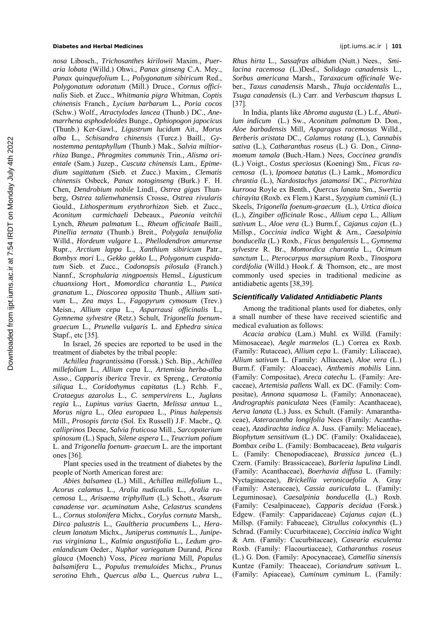*nosa* Libosch., *Trichosanthes kirilowii* Maxim., *Pueraria lobata* (Willd.) Ohwi., *Panax ginseng* C.A. Mey., *Panax quinquefolium* L., *Polygonatum sibiricum* Red., *Polygonatum odoratum* (Mill.) Druce., *Cornus officinalis* Sieb. et Zucc., *Whitmania pigra* Whitman, *Coptis chinensis* Franch., *Lycium barbarum* L., *Poria cocos*  (Schw.) Wolf., *Atractylodes lancea* (Thunb.) DC., *Anemarrhena asphodeloides* Bunge., *Ophiopogon japocicus*  (Thunb.) Ker-Gawl., *Ligustrum lucidum* Ait., *Morus alba* L., *Schisandra chinensis* (Turcz.) Baill., *Gynostemma pentaphyllum* (Thunb.) Mak., *Salvia miltiorrhiza* Bunge., *Phragmites communis* Trin., *Alisma orientale* (Sam.) Juzep., *Cuscuta chinensis* Lam., *Epimedium sagittatum* (Sieb. et Zucc.) Maxim., *Clematis chinensis* Osbeck, *Panax notoginseng* (Burk.) F. H. Chen, *Dendrobium nobile* Lindl., *Ostrea gigas* Thunberg, *Ostrea talienwhanensis* Crosse, *Ostrea rivularis*  Gould., *Lithospermum erythrorhizon* Sieb. et Zucc., *Aconitum carmichaeli* Debeaux., *Paeonia veitchii*  Lynch, *Rheum palmatum* L., *Rheum officinale* Baill., *Pinellia ternata* (Thunb.) Breit., *Polygala tenuifolia*  Willd., *Hordeum vulgare* L., *Phellodendron amurense*  Rupr., *Arctium lappa* L., *Xanthium sibiricum* Patr., *Bombyx mori* L., *Gekko gekko* L., *Polygonum cuspidatum* Sieb. et Zucc., *Codonopsis pilosula* (Franch.) Nannf., *Scrophularia ningpoensis* Hemsl., *Ligusticum chuanxiong* Hort., *Momordica charantia* L., *Punica granatum* L., *Dioscorea opposita* Thunb., *Allium sativum* L., *Zea mays* L., *Fagopyrum cymosum* (Trev.) Meisn., *Allium cepa* L., *Asparrausi officinalis* L., *Gymnema sylvestre* (Retz.) Schult, *Trigonella foenumgraecum* L., *Prunella vulgaris* L. and *Ephedra sinica*  Stapf., etc [35].

In Israel, 26 species are reported to be used in the treatment of diabetes by the tribal people:

*Achillea fragrantissima* (Forssk.) Sch. Bip., *Achillea millefolium* L., *Allium cepa* L., *Artemisia herba-alba* Asso., *Capparis iberica* Trevir. ex Spreng., *Ceratonia siliqua* L., *Coridothymus capitatus* (L.) Rchb. F., *Crataegus azarolus* L., *C. sempervirens* L., *Juglans regia* L., *Lupinus varius* Gaertn, *Melissa annua* L., *Morus nigra* L., *Olea europaea* L., *Pinus halepensis* Mill., *Prosopis farcta* (Sol. Ex Russell) J.F. Macbr., *Q. calliprinos* Decne, *Salvia fruticosa* Mill., *Sarcopoterium spinosum* (L.) Spach, *Silene aspera* L., *Teucrium polium* L. and *Trigonella foenum- graecum* L. are the important ones [ 36].

Plant species used in the treatment of diabetes by the people of North American forest are:

*Abies balsamea* (L.) Mill., *Achillea millefolium* L., *Acorus calamus* L., *Aralia nudicaulis* L., *Aralia racemosa* L., *Arisaema triphyllum* (L.) Schott., *Asarum canadense var. acuminatum* Ashe, *Celastrus scandens* L., *Cornus stolonifera* Michx., *Corylus cornuta* Marsh,. *Dirca palustris* L., *Gaultheria procumbens* L., *Heracleum lanatum* Michx., *Juniperus communis* L., *Juniperus virginiana* L., *Kalmia angustifolia* L., *Ledum groenlandicum* Oeder., *Nuphar variegatum* Durand, *Picea glauca* (Moench) Voss, *Picea mariana* Mill, *Populus balsamifera* L., *Populus tremuloides* Michx., *Prunus serotina* Ehrh., *Quercus alba* L., *Quercus rubra* L., *Rhus hirta* L., *Sassafras albidum* (Nutt.) Nees., *Smilacina racemosa* (L.)Desf., *Solidago canadensis* L., *Sorbus americana* Marsh., *Taraxacum officinale* Weber., *Taxus canadensis* Marsh., *Thuja occidentalis* L., *Tsuga canadensis* (L.) Carr. and *Verbascum thapsus* L [ 37].

In India, plants like *Abroma augusta* (L.) L.f., *Abutilum indicum* (L.) Sw., *Aconitum palmatum* D. Don., *Aloe barbadensis* Mill, *Asparagus racemosus* Willd., *Berberis aristata* DC., *Calamus rotang* (L.), *Cannabis sativa* (L.), *Catharanthus roseus* (L.) G. Don., *Cinnamomum tamala* (Buch.-Ham.) Nees, *Coccinea grandis* (L.) Voigt., *Costus speciosus* (Koening) Sm., *Ficus racemosa* (L.), *Ipomoea batatus* (L.) Lamk., *Momordica chrantia* (L.), *Nardostachys jatamansi* DC., *Picrorhiza kurrooa* Royle ex Benth., *Quercus lanata* Sm., *Swertia chirayita* (Roxb. ex Flem.) Karst., *Syzygium cuminii* (L.) Skeels, *Trigonella foenum-graecum* (L.), *Urtica dioica* (L.), *Zingiber officinale* Rosc., *Allium cepa* L., *Allium sativum* L., *Aloe vera* (L.) Burm.f., *Cajanus cajan* (L.) Millsp., *Coccinia indica* Wight & Arn., *Caesalpinia bonducella* (L.) Roxb., *Ficus bengalensis* L., *Gymnema sylvestre* R. Br., *Momordica charantia* L., *Ocimum sanctum* L., *Pterocarpus marsupium* Roxb., *Tinospora cordifolia* (Willd.) Hook.f. & Thomson, etc., are most commonly used species in traditional medicine as antidiabetic agents [38,39].

#### *Scientifically Validated Antidiabetic Plants*

Among the traditional plants used for diabetes, only a small number of these have received scientific and medical evaluation as follows:

*Acacia arabica* (Lam.) Muhl. ex Willd. (Family: Mimosaceae), *Aegle marmelos* (L.) Correa ex Roxb. (Family: Rutaceae), *Allium cepa* L. (Family: Liliaceae), *Allium sativum* L. (Family: Alliaceae), *Aloe vera* (L.) Burm.f. (Family: Aloaceae), *Anthemis mobilis* Linn*.* (Family: Compositae), *Areca catechu* L. (Family: Arecaceae), *Artemisia pallens* Wall. ex DC. (Family: Compositae), *Annona squamosa* L. (Family: Annonaceae), *Andrographis paniculata* Nees (Family: Acanthaceae), *Aerva lanata* (L.) Juss. ex Schult. (Family: Amaranthaceae), *Asteracantha longifolia* Nees (Family: Acanthaceae), *Azadirachta indica* A. Juss. (Family: Meliaceae), *Biophytum sensitivum* (L.) DC. (Family: Oxalidaceae), *Bombax ceiba* L. (Family: Bombacaceae), *Beta vulgaris*  L. (Family: Chenopodiaceae), *Brassica juncea* (L.) Czern. (Family: Brassicaceae), *Barleria lupulina* Lindl. (Family: Acanthaceae), *Boerhavia diffusa* L. (Family: Nyctaginaceae), *Brickellia veronicaefolia* A. Gray (Family: Asteraceae), *Cassia auriculata* L. (Family: Leguminosae), *Caesalpinia bonducella* (L.) Roxb. (Family: Cesalpinaceae), *Capparis decidua* (Forsk.) Edgew. (Family: Capparidaceae) *Cajanus cajan* (L.) Millsp. (Family: Fabaceae), *Citrullus colocynthis* (L.) Schrad. (Family: Cucurbitaceae), *Coccinia indica* Wight & Arn. (Family: Cucurbitaceae), *Casearia esculenta*  Roxb. (Family: Flacourtiaceae), *Catharanthus roseus*  (L.) G. Don. (Family: Apocynaceae), *Camellia sinensis*  Kuntze (Family: Theaceae), *Coriandrum sativum* L. (Family: Apiaceae), *Cuminum cyminum* L. (Family: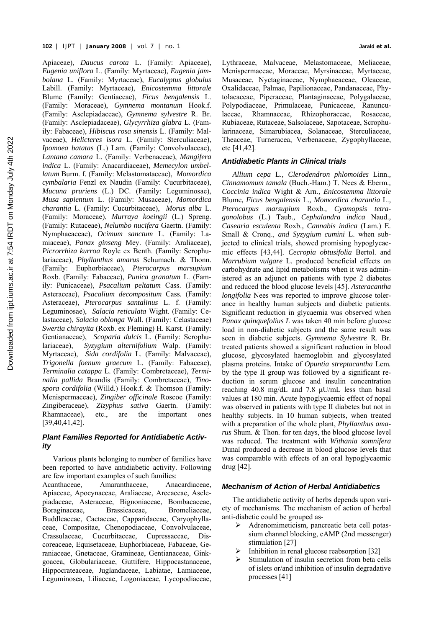Apiaceae), *Daucus carota* L. (Family: Apiaceae), *Eugenia uniflora* L. (Family: Myrtaceae), *Eugenia jambolana* L. (Family: Myrtaceae), *Eucalyptus globulus*  Labill. (Family: Myrtaceae), *Enicostemma littorale*  Blume (Family: Gentiaceae), *Ficus bengalensis* L. (Family: Moraceae), *Gymnema montanum* Hook.f. (Family: Asclepiadaceae), *Gymnema sylvestre* R. Br. (Family: Asclepiadaceae), *Glycyrrhiza glabra* L. (Family: Fabaceae), *Hibiscus rosa sinensis* L. (Family: Malvaceae), *Helicteres isora* L. (Family: Sterculiaceae), *Ipomoea batatas* (L.) Lam. (Family: Convolvulaceae), *Lantana camara* L. (Family: Verbenaceae), *Mangifera indica* L. (Family: Anacardiaceae), *Memecylon umbellatum* Burm. f. (Family: Melastomataceae), *Momordica cymbalaria* Fenzl ex Naudin (Family: Cucurbitaceae), *Mucuna pruriens* (L.) DC. (Family: Leguminosae), *Musa sapientum* L. (Family: Musaceae), *Momordica charantia* L. (Family: Cucurbitaceae), *Morus alba* L. (Family: Moraceae), *Murraya koeingii* (L.) Spreng. (Family: Rutaceae), *Nelumbo nucifera* Gaertn. (Family: Nymphaeaceae), *Ocimum sanctum* L. (Family: Lamiaceae), *Panax ginseng* Mey. (Family: Araliaceae), *Picrorrhiza kurroa* Royle ex Benth. (Family: Scrophulariaceae), *Phyllanthus amarus* Schumach. & Thonn. (Family: Euphorbiaceae), *Pterocarpus marsupium*  Roxb. (Family: Fabaceae), *Punica granatum* L. (Family: Punicaceae), *Psacalium peltatum* Cass. (Family: Asteraceae), *Psacalium decompositum* Cass. (Family: Asteraceae), *Pterocarpus santalinus* L. f. (Family: Leguminosae), *Salacia reticulata* Wight. (Family: Celastaceae), *Salacia oblonga* Wall. (Family: Celastaceae) *Swertia chirayita* (Roxb. ex Fleming) H. Karst. (Family: Gentianaceae), *Scoparia dulcis* L. (Family: Scrophulariaceae), *Syzygium alternifolium* Walp. (Family: Myrtaceae), *Sida cordifolia* L. (Family: Malvaceae), *Trigonella foenum graecum* L. (Family: Fabaceae), *Terminalia catappa* L. (Family: Combretaceae), *Terminalia pallida* Brandis (Family: Combretaceae), *Tinospora cordifolia* (Willd.) Hook.f. & Thomson (Family: Menispermaceae), *Zingiber officinale* Roscoe (Family: Zingiberaceae), *Zizyphus sativa* Gaertn. (Family: Rhamnaceae), etc., are the important ones [ 39, 40, 41, 42]*.*

# *Plant Families Reported for Antidiabetic Activity*

Various plants belonging to number of families have been reported to have antidiabetic activity. Following are few important examples of such families:

Acanthaceae, Amaranthaceae, Anacardiaceae, Apiaceae, Apocynaceae, Araliaceae, Arecaceae, Asclepiadaceae, Asteraceae, Bignoniaceae, Bombacaceae, Boraginaceae, Brassicaceae, Bromeliaceae, Buddleaceae, Cactaceae, Capparidaceae, Caryophyllaceae, Compositae, Chenopodiaceae, Convolvulaceae, Crassulaceae, Cucurbitaceae, Cupressaceae, Discoreaceae, Equisetaceae, Euphorbiaceae, Fabaceae, Geraniaceae, Gnetaceae, Gramineae, Gentianaceae, Ginkgoacea, Globulariaceae, Guttifere, Hippocastanaceae, Hippocrateaceae, Juglandaceae, Labiatae, Lamiaceae, Leguminosea, Liliaceae, Logoniaceae, Lycopodiaceae, Lythraceae, Malvaceae, Melastomaceae, Meliaceae, Menispermaceae, Moraceae, Myrsinaceae, Myrtaceae, Musaceae, Nyctaginaceae, Nymphaeaceae, Oleaceae, Oxalidaceae, Palmae, Papilionaceae, Pandanaceae, Phytolacaceae, Piperaceae, Plantaginaceae, Polygalaceae, Polypodiaceae, Primulaceae, Punicaceae, Ranunculaceae, Rhamnaceae, Rhizophoraceae, Rosaceae, Rubiaceae, Rutaceae, Salsolaceae, Sapotaceae, Scrophularinaceae, Simarubiacea, Solanaceae, Sterculiaceae, Theaceae, Turneracea, Verbenaceae, Zygophyllaceae, etc  $[41, 42]$ .

# *Antidiabetic Plants in Clinical trials*

*Allium cepa* L.*, Clerodendron phlomoides* Linn.*, Cinnamomum tamala* (Buch.-Ham.) T. Nees & Eberm.*, Coccinia indica* Wight & Arn.*, Enicostemma littorale*  Blume*, Ficus bengalensis* L.*, Momordica charantia* L.*, Pterocarpus marsupium* Roxb.*, Cyamopsis tetragonolobus* (L.) Taub.*, Cephalandra indica* Naud.*, Casearia esculenta* Roxb.*, Cannabis indica* (Lam.) E. Small & Cronq.*, and Syzygium cumini* L. when subjected to clinical trials, showed promising hypoglycaemic effects [43,44]*. Cecropia obtusifolia* Bertol. and *Marrubium vulgare* L. produced beneficial effects on carbohydrate and lipid metabolisms when it was administered as an adjunct on patients with type 2 diabetes and reduced the blood glucose levels [ 45]. *Asteracantha longifolia* Nees was reported to improve glucose tolerance in healthy human subjects and diabetic patients. Significant reduction in glycaemia was observed when *Panax quinquefolius L* was taken 40 min before glucose load in non-diabetic subjects and the same result was seen in diabetic subjects. *Gymnema Sylvestre* R. Br. treated patients showed a significant reduction in blood glucose, glycosylated haemoglobin and glycosylated plasma proteins. Intake of *Opuntia streptacantha* Lem*.* by the type II group was followed by a significant reduction in serum glucose and insulin concentration reaching 40.8 mg/dL and 7.8 μU/mL less than basal values at 180 min. Acute hypoglycaemic effect of nopal was observed in patients with type II diabetes but not in healthy subjects. In 10 human subjects, when treated with a preparation of the whole plant, *Phyllanthus amarus* Shum. & Thon*.* for ten days, the blood glucose level was reduced. The treatment with *Withania somnifera*  Dunal produced a decrease in blood glucose levels that was comparable with effects of an oral hypoglycaemic drug [ 42].

## *Mechanism of Action of Herbal Antidiabetics*

The antidiabetic activity of herbs depends upon variety of mechanisms. The mechanism of action of herbal anti-diabetic could be grouped as-

- $\triangleright$  Adrenomimeticism, pancreatic beta cell potassium channel blocking, cAMP (2nd messenger) stimulation [27]
- Inhibition in renal glucose reabsorption [32]
- Stimulation of insulin secretion from beta cells of islets or/and inhibition of insulin degradative processes [41]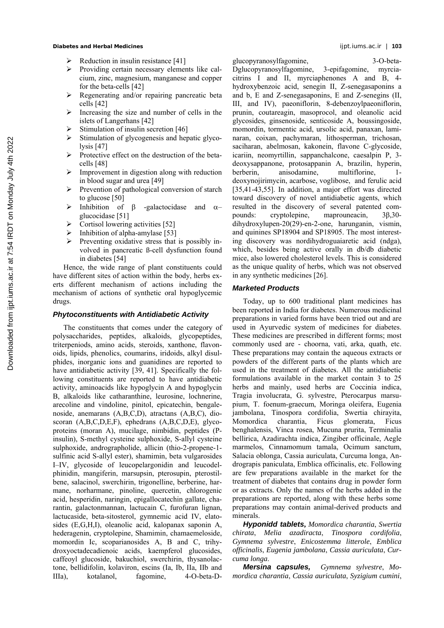- Reduction in insulin resistance [41]
- $\triangleright$  Providing certain necessary elements like calcium, zinc, magnesium, manganese and copper for the beta-cells [42]
- $\triangleright$  Regenerating and/or repairing pancreatic beta cells [ 42]
- $\triangleright$  Increasing the size and number of cells in the islets of Langerhans [ 42]
- Stimulation of insulin secretion [46]
- $\triangleright$  Stimulation of glycogenesis and hepatic glycolysis [47]
- $\triangleright$  Protective effect on the destruction of the betacells [ 48]
- $\triangleright$  Improvement in digestion along with reduction in blood sugar and urea [ 49]
- $\triangleright$  Prevention of pathological conversion of starch to glucose [50]
- $\triangleright$  Inhibition of  $\beta$  -galactocidase and  $\alpha$ glucocidase [51]
- $\triangleright$  Cortisol lowering activities [52]
- $\triangleright$  Inhibition of alpha-amylase [53]
- $\triangleright$  Preventing oxidative stress that is possibly involved in pancreatic ß-cell dysfunction found in diabetes [ 54]

Hence, the wide range of plant constituents could have different sites of action within the body, herbs exerts different mechanism of actions including the mechanism of actions of synthetic oral hypoglycemic drugs.

# *Phytoconstituents with Antidiabetic Activity*

The constituents that comes under the category of polysaccharides, peptides, alkaloids, glycopeptides, triterpeniods, amino acids, steroids, xanthone, flavonoids, lipids, phenolics, coumarins, iridoids, alkyl disulphides, inorganic ions and guanidines are reported to have antidiabetic activity [39, 41]. Specifically the following constituents are reported to have antidiabetic activity, aminoacids like hypoglycin A and hypoglycin B, alkaloids like catharanthine, leurosine, lochnerine, arecoline and vindoline, pinitol, epicatechin, bengalenoside, anemarans (A,B,C,D), atractans (A,B,C), dioscoran (A,B,C,D,E,F), ephedrans (A,B,C,D,E), glycoproteins (moran A), mucilage, nimbidin, peptides (Pinsulin), S-methyl cysteine sulphoxide, S-allyl cysteine sulphoxide, andrographolide, allicin (thio-2-propene-1 sulfinic acid S-allyl ester), shamimin, beta vulgarosides I–IV, glycoside of leucopelargonidin and leucodelphinidin, mangiferin, marsupsin, pterosupin, pterostilbene, salacinol, swerchirin, trigonelline, berberine, harmane, norharmane, pinoline, quercetin, chlorogenic acid, hesperidin, naringin, epigallocatechin gallate, charantin, galactonmannan, lactucain C, furofuran lignan, lactucaside, beta-sitosterol, gymnemic acid IV, elatosides (E,G,H,I), oleanolic acid, kalopanax saponin A, hederagenin, cryptolepine, Shamimin, chamaemeloside, momordin Ic, scoparianosides A, B and C, trihydroxyoctadecadienoic acids, kaempferol glucosides, caffeoyl glucoside, bakuchiol, swerchirin, thysanolactone, bellidifolin, kolaviron, escins (Ia, Ib, IIa, IIb and IIIa), kotalanol, fagomine, 4-O-beta-D-

glucopyranosylfagomine, 3-O-beta-

Dglucopyranosylfagomine, 3-epifagomine, myrciacitrins I and II, myrciaphenones A and B, 4 hydroxybenzoic acid, senegin II, Z-senegasaponins a and b, E and Z-senegasaponins, E and Z-senegins (II, III, and IV), paeoniflorin, 8-debenzoylpaeoniflorin, prunin, coutareagin, masoprocol, and oleanolic acid glycosides, ginsenoside, senticoside A, boussingoside, momordin, tormentic acid, ursolic acid, panaxan, laminaran, coixan, pachymaran, lithosperman, trichosan, saciharan, abelmosan, kakonein, flavone C-glycoside, icariin, neomyrtillin, sappanchalcone, caesalpin P, 3 deoxysappanone, protosappanin A, brazilin, hyperin, berberin, anisodamine, multiflorine, 1 deoxynojirimycin, acarbose, voglibose, and ferulic acid [35,41-43,55]. In addition, a major effort was directed toward discovery of novel antidiabetic agents, which resulted in the discovery of several patented compounds: cryptolepine, maprouneacin, 3β,30 dihydroxylupen-20(29)-en-2-one, harunganin, vismin, and quinines SP18904 and SP18905. The most interesting discovery was nordihydroguaiaretic acid (ndga), which, besides being active orally in db/db diabetic mice, also lowered cholesterol levels. This is considered as the unique quality of herbs, which was not observed in any synthetic medicines [26].

# *Marketed Products*

Today, up to 600 traditional plant medicines has been reported in India for diabetes. Numerous medicinal preparations in varied forms have been tried out and are used in Ayurvedic system of medicines for diabetes. These medicines are prescribed in different forms; most commonly used are - choorna, vati, arka, quath, etc. These preparations may contain the aqueous extracts or powders of the different parts of the plants which are used in the treatment of diabetes. All the antidiabetic formulations available in the market contain 3 to 25 herbs and mainly, used herbs are Coccinia indica, Tragia involucrata, G. sylvestre, Pterocarpus marsupium, T. foenum-graecum, Moringa oleifera, Eugenia jambolana, Tinospora cordifolia, Swertia chirayita, Momordica charantia, Ficus glomerata, Ficus benghalensis, Vinca rosea, Mucuna prurita, Terminalia bellirica, Azadirachta indica, Zingiber officinale, Aegle marmelos, Cinnamomum tamala, Ocimum sanctum, Salacia oblonga, Cassia auriculata, Curcuma longa, Andrograpis paniculata, Emblica officinalis, etc. Following are few preparations available in the market for the treatment of diabetes that contains drug in powder form or as extracts. Only the names of the herbs added in the preparations are reported, along with these herbs some preparations may contain animal-derived products and minerals.

*Hyponidd tablets***,** *Momordica charantia*, *Swertia chirata*, *Melia azadiracta*, *Tinospora cordifolia*, *Gymnema sylvestre*, *Enicostemma litterole*, *Emblica officinalis*, *Eugenia jambolana*, *Cassia auriculata*, *Curcuma longa*.

*Mersina capsules, Gymnema sylvestre*, *Momordica charantia*, *Cassia auriculata*, *Syzigium cumini*,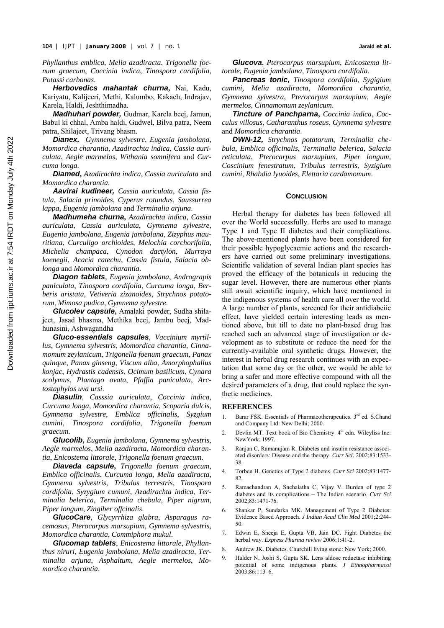*Phyllanthus emblica*, *Melia azadiracta*, *Trigonella foenum graecum*, *Coccinia indica*, *Tinospora cardifolia*, *Potassi carbonas*.

*Herbovedics mahantak churna***,** Nai, Kadu, Kariyatu, Kalijeeri, Methi, Kalumbo, Kakach, Indrajav, Karela, Haldi, Jeshthimadha.

*Madhuhari powder,* Gudmar, Karela beej, Jamun, Babul ki chhal, Amba haldi, Gudwel, Bilva patra, Neem patra, Shilajeet, Trivang bhasm.

*Dianex, Gymnema sylvestre*, *Eugenia jambolana*, *Momordica charantia*, *Azadirachta indica*, *Cassia auriculata*, *Aegle marmelos*, *Withania somnifera* and *Curcuma longa*.

*Diamed***,** *Azadirachta indica*, *Cassia auriculata* and *Momordica charantia*.

*Aavirai kudineer, Cassia auriculata*, *Cassia fistula*, *Salacia prinoides*, *Cyperus rotundus*, *Saussurrea lappa*, *Eugenia jambolana* and *Terminalia arjuna*.

*Madhumeha churna***,** *Azadirachta indica*, *Cassia auriculata*, *Cassia auriculata*, *Gymnema sylvestre*, *Eugenia jambolana*, *Eugenia jambolana*, *Zizyphus mauritiana*, *Curculigo orchioides*, *Melochia corchorifolia*, *Michelia champaca*, *Cynodon dactylon*, *Murraya koenegii*, *Acacia catechu*, *Cassia fistula*, *Salacia oblonga* and *Momordica charantia*.

*Diagon tablets*, *Eugenia jambolana*, *Andrograpis paniculata*, *Tinospora cordifolia*, *Curcuma longa*, *Berberis aristata*, *Vetiveria zizanoides*, *Strychnos potatorum*, *Mimosa pudica*, *Gymnema sylvestre*.

*Glucolev capsule***,** Amalaki powder, Sudha shilajeet, Jasad bhasma, Methika beej, Jambu beej, Madhunasini, Ashwagandha

*Gluco-essentials capsules*, *Vaccinium myrtillus*, *Gymnema sylvestris*, *Momordica charantia*, *Cinnamomum zeylanicum*, *Trigonella foenum graecum*, *Panax quinque*, *Panax ginseng*, *Viscum alba*, *Amorphophallus konjac*, *Hydrastis cadensis*, *Ocimum basilicum*, *Cynara scolymus*, *Plantago ovata*, *Pfaffia paniculata*, *Arctostaphylos uva ursi*.

*Diasulin*, *Casssia auriculata*, *Coccinia indica*, *Curcuma longa*, *Momordica charantia*, *Scoparia dulcis*, *Gymnema sylvestre*, *Emblica officinalis*, *Syzgium cumini*, *Tinospora cordifolia*, *Trigonella foenum graecum*.

*Glucolib***,** *Eugenia jambolana*, *Gymnema sylvestris*, *Aegle marmelos*, *Melia azadiracta*, *Momordica charantia*, *Enicostema littorale*, *Trigonella foenum graecum*.

*Diaveda capsule***,** *Trigonella foenum graecum*, *Emblica officinalis*, *Curcuma longa*, *Melia azadiracta*, *Gymnema sylvestris*, *Tribulus terrestris*, *Tinospora cordifolia*, *Syzygium cumuni*, *Azadirachta indica*, *Terminalia belerica*, *Terminalia chebula*, *Piper nigrum*, *Piper longum*, *Zingiber offcinalis*.

*GlucoCare*, *Glycyrrhiza glabra*, *Asparagus racemosus*, *Pterocarpus marsupium*, *Gymnema sylvestris*, *Momordica charantia*, *Commiphora mukul*.

*Glucomap tablets*, *Enicostema littorale*, *Phyllanthus niruri*, *Eugenia jambolana*, *Melia azadiracta*, *Terminalia arjuna*, *Asphaltum*, *Aegle mermelos*, *Momordica charantia*.

*Glucova*, *Pterocarpus marsupium*, *Enicostema littorale*, *Eugenia jambolana*, *Tinospora cordifolia*.

*Pancreas tonic***,** *Tinospora cordifolia*, *Sygigium cumini, Melia azadiracta*, *Momordica charantia*, *Gymnema sylvestra*, *Pterocarpus marsupium*, *Aegle mermelos*, *Cinnamomum zeylanicum*.

*Tincture of Panchparna***,** *Coccinia indica*, *Cocculus villosus*, *Catharanthus roseus*, *Gymnema sylvestre*  and *Momordica charantia*.

*DWN-12***,** *Strychnos potatorum*, *Terminalia chebula*, *Emblica officinalis*, *Terminalia belerica*, *Salacia reticulata*, *Pterocarpus marsupium*, *Piper longum*, *Coscinium fenestratum*, *Tribulus terrestris*, *Syzigium cumini*, *Rhabdia lyuoides*, *Elettaria cardamomum*.

#### **CONCLUSION**

Herbal therapy for diabetes has been followed all over the World successfully. Herbs are used to manage Type 1 and Type II diabetes and their complications. The above-mentioned plants have been considered for their possible hypoglycaemic actions and the researchers have carried out some preliminary investigations. Scientific validation of several Indian plant species has proved the efficacy of the botanicals in reducing the sugar level. However, there are numerous other plants still await scientific inquiry, which have mentioned in the indigenous systems of health care all over the world. A large number of plants, screened for their antidiabeiic effect, have yielded certain interesting leads as mentioned above, but till to date no plant-based drug has reached such an advanced stage of investigation or development as to substitute or reduce the need for the currently-available oral synthetic drugs. However, the interest in herbal drug research continues with an expectation that some day or the other, we would be able to bring a safer and more effective compound with all the desired parameters of a drug, that could replace the synthetic medicines.

# **REFERENCES**

- 1. Barar FSK. Essentials of Pharmacotherapeutics. 3<sup>rd</sup> ed. S.Chand and Company Ltd: New Delhi; 2000.
- 2. Devlin MT. Text book of Bio Chemistry. 4<sup>th</sup> edn. Wileyliss Inc: NewYork; 1997.
- 3. Ranjan C, Ramanujam R. Diabetes and insulin resistance associated disorders: Disease and the therapy. *Curr Sci*. 2002;83:1533- 38.
- 4. Torben H. Genetics of Type 2 diabetes. *Curr Sci* 2002;83:1477- 82.
- 5. Ramachandran A, Snehalatha C, Vijay V. Burden of type 2 diabetes and its complications – The Indian scenario. *Curr Sci* 2002;83:1471-76.
- 6. Shankar P, Sundarka MK. Management of Type 2 Diabetes: Evidence Based Approach. *J Indian Acad Clin Med* 2001;2:244- 50.
- 7. Edwin E, Sheeja E, Gupta VB, Jain DC. Fight Diabetes the herbal way. *Express Pharma review* 2006;1:41-2.
- 8. Andrew JK. Diabetes. Churchill living stone: New York; 2000.
- 9. Halder N, Joshi S, Gupta SK. Lens aldose reductase inhibiting potential of some indigenous plants. *J Ethnopharmacol* 2003;86:113–6.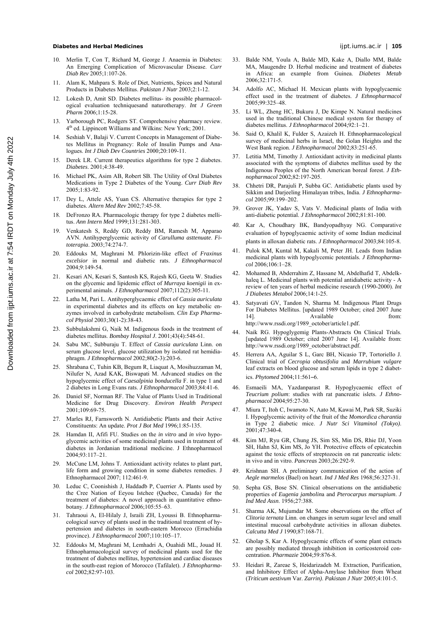## **Diabetes and Herbal Medicines** ijpt.iums.ac.ir | **105**

- 10. Merlin T, Con T, Richard M, George J. Anaemia in Diabetes: An Emerging Complication of Microvascular Disease. *Curr Diab Rev* 2005;1:107-26.
- 11. Alam K, Mahpara S. Role of Diet, Nutrients, Spices and Natural Products in Diabetes Mellitus. *Pakistan J Nutr* 2003;2:1-12.
- 12. Lokesh D, Amit SD. Diabetes mellitus- its possible pharmacological evaluation techniquesand naturotherapy. *Int J Green Pharm* 2006;1:15-28.
- 13. Yarborough PC, Rodgers ST. Comprehensive pharmacy review. 4<sup>th</sup> ed. Lippincott Williams and Wilkins: New York; 2001.
- 14. Seshiah V, Balaji V. Current Concepts in Management of Diabetes Mellitus in Pregnancy: Role of Insulin Pumps and Analogues. *Int J Diab Dev Countries* 2000;20:109-11.
- 15. Derek LR. Current therapeutics algorithms for type 2 diabetes. *Diabetes*. 2001;4:38-49.
- 16. Michael PK, Asim AB, Robert SB. The Utility of Oral Diabetes Medications in Type 2 Diabetes of the Young. *Curr Diab Rev*  2005;1:83-92.
- 17. Dey L, Attele AS, Yuan CS. Alternative therapies for type 2 diabetes. *Altern Med Rev* 2002;7:45-58.
- 18. DeFronzo RA. Pharmacologic therapy for type 2 diabetes mellitus. *Ann Intern Med* 1999;131:281-303.
- 19. Venkatesh S, Reddy GD, Reddy BM, Ramesh M, Apparao AVN. Antihyperglycemic activity of *Carulluma asttenuate*. *Fitoterapia*. 2003;74:274-7.
- 20. Eddouks M, Maghrani M. Phlorizin-like effect of *Fraxinus excelsior* in normal and diabetic rats. *J Ethnopharmacol* 2004;9:149-54.
- 21. Kesari AN, Kesari S, Santosh KS, Rajesh KG, Geeta W. Studies on the glycemic and lipidemic effect of *Murraya koenigii* in experimental animals. *J Ethnopharmacol* 2007;112(2):305-11.
- 22. Latha M, Pari L. Antihyperglycaemic effect of *Cassia auriculata* in experimental diabetes and its effects on key metabolic enzymes involved in carbohydrate metabolism. *Clin Exp Pharmacol Physiol* 2003;30(1-2):38-43.
- 23. Subbulakshmi G, Naik M. Indigenous foods in the treatment of diabetes mellitus. *Bombay Hospital J*. 2001;43(4):548-61.
- 24. Sabu MC, Subburaju T. Effect of *Cassia auriculata* Linn. on serum glucose level, glucose utilization by isolated rat hemidiaphragm. *J Ethnopharmacol* 2002;80(2-3):203-6.
- 25. Shrabana C, Tuhin KB, Begum R, Liaquat A, Mosihuzzaman M, Nilufer N, Azad KAK, Biswapati M. Advanced studies on the hypoglycemic effect of *Caesalpinia bonducella* F. in type 1 and 2 diabetes in Long Evans rats. *J Ethnopharmacol* 2003;84:41-6.
- 26. Daniel SF, Norman RF. The Value of Plants Used in Traditional Medicine for Drug Discovery. *Environ Health Perspect* 2001;109:69-75.
- 27. Marles RJ, Farnsworth N. Antidiabetic Plants and their Active Constituents: An update. *Prot J Bot Med* 1996;1:85-135.
- 28. Hamdan II, Afifi FU. Studies on the *in vitro* and *in vivo* hypoglycemic activities of some medicinal plants used in treatment of diabetes in Jordanian traditional medicine. J Ethnopharmacol 2004;93:117–21.
- 29. McCune LM, Johns T. Antioxidant activity relates to plant part, life form and growing condition in some diabetes remedies. J Ethnopharmacol 2007; 112:461-9.
- 30. Leduc C, Coonishish J, Haddadb P, Cuerrier A. Plants used by the Cree Nation of Eeyou Istchee (Quebec, Canada) for the treatment of diabetes: A novel approach in quantitative ethnobotany. *J Ethnopharmacol* 2006;105:55–63.
- 31. Tahraoui A, El-Hilaly J, Israili ZH, Lyoussi B. Ethnopharmacological survey of plants used in the traditional treatment of hypertension and diabetes in south-eastern Morocco (Errachidia province). *J Ethnopharmacol* 2007;110:105–17.
- 32. Eddouks M, Maghrani M, Lemhadri A, Ouahidi ML, Jouad H. Ethnopharmacological survey of medicinal plants used for the treatment of diabetes mellitus, hypertension and cardiac diseases in the south-east region of Morocco (Tafilalet). *J Ethnopharmacol* 2002;82:97-103.
- 33. Balde NM, Youla A, Balde MD, Kake A, Diallo MM, Balde MA, Maugendre D. Herbal medicine and treatment of diabetes in Africa: an example from Guinea. *Diabetes Metab* 2006;32:171-5.
- 34. Adolfo AC, Michael H. Mexican plants with hypoglycaemic effect used in the treatment of diabetes. *J Ethnopharmacol* 2005;99:325–48.
- 35. Li WL, Zheng HC, Bukuru J, De Kimpe N. Natural medicines used in the traditional Chinese medical system for therapy of diabetes mellitus. *J Ethnopharmacol* 2004;92:1–21.
- 36. Said O, Khalil K, Fulder S, Azaizeh H. Ethnopharmacological survey of medicinal herbs in Israel, the Golan Heights and the West Bank region. *J Ethnopharmacol* 2002;83:251-65.
- 37. Letitia MM, Timothy J. Antioxidant activity in medicinal plants associated with the symptoms of diabetes mellitus used by the Indigenous Peoples of the North American boreal forest. *J Ethnopharmacol* 2002;82:197-205.
- 38. Chhetri DR, Parajuli P, Subba GC. Antidiabetic plants used by Sikkim and Darjeeling Himalayan tribes, India. *J Ethnopharmacol* 2005;99:199–202.
- 39. Grover JK, Yadav S, Vats V. Medicinal plants of India with anti-diabetic potential. *J Ethnopharmacol* 2002;81:81-100.
- *40.* Kar A, Choudhary BK, Bandyopadhyay NG. Comparative evaluation of hypoglycaemic activity of some Indian medicinal plants in alloxan diabetic rats. *J Ethnopharmacol* 2003;84:105-8.
- 41. Pulok KM, Kuntal M, Kakali M, Peter JH. Leads from Indian medicinal plants with hypoglycemic potentials. *J Ethnopharmacol* 2006;106:1–28.
- 42. Mohamed B, Abderrahim Z, Hassane M, Abdelhafid T, Abdelkhaleq L. Medicinal plants with potential antidiabetic activity - A review of ten years of herbal medicine research (1990-2000). *Int J Diabetes Metabol* 2006;14:1-25.
- 43. Satyavati GV, Tandon N, Sharma M. Indigenous Plant Drugs For Diabetes Mellitus. [updated 1989 October; cited 2007 June 14]. Available from: http://www.rssdi.org/1989\_october/article1.pdf.
- 44. Naik RG. Hypoglygemig Plants-Abstracts On Clinical Trials. [updated 1989 October; cited 2007 June 14]. Available from: http://www.rssdi.org/1989\_october/abstract.pdf.
- 45. Herrera AA, Aguilar S L, Garc BH, Nicasio TP, Tortoriello J. Clinical trial of *Cecropia obtusifolia* and *Marrubium vulgare* leaf extracts on blood glucose and serum lipids in type 2 diabetics. *Phytomed* 2004;11:561–6.
- 46. Esmaeili MA, Yazdanparast R. Hypoglycaemic effect of *Teucrium polium*: studies with rat pancreatic islets. *J Ethnopharmacol* 2004;95:27-30.
- 47. Miura T, Itoh C, Iwamoto N, Aato M, Kawai M, Park SR, Suziki I. Hypoglycemic activity of the fruit of the *Momordica charantia* in Type 2 diabetic mice. *J Nutr Sci Vitaminol (Tokyo)*. 2001;47:340-4.
- 48. Kim MJ, Ryu GR, Chung JS, Sim SS, Min DS, Rhie DJ, Yoon SH, Hahn SJ, Kim MS, Jo YH. Protective effects of epicatechin against the toxic effects of streptozocin on rat pancreatic islets: in vivo and in vitro. *Pancreas* 2003;26:292-9.
- 49. Krishnan SH. A preliminary communication of the action of *Aegle marmelos* (Bael) on heart. *Ind J Med Res* 1968;56:327-31.
- 50. Sepha GS, Bose SN. Clinical observations on the antidiabetic properties of *Eugenia jambolin*a and *Pterocarpus marsupium*. *J Ind Med Assn*. 1956;27:388.
- 51. Sharma AK, Mujumdar M. Some observations on the effect of *Clitoria ternata* Linn. on changes in serum sugar level and small intestinal mucosal carbohydrate activities in alloxan diabetes. *Calcutta Med J* 1990;87:168-71.
- 52. Gholap S, Kar A. Hypoglycaemic effects of some plant extracts are possibly mediated through inhibition in corticosteroid concentration. *Pharmazie* 2004;59:876-8.
- 53. Heidari R, Zareae S, Heidarizadeh M. Extraction, Purification, and Inhibitory Effect of Alpha-Amylase Inhibitor from Wheat (*Triticum aestivum* Var. *Zarrin)*. *Pakistan J Nutr* 2005;4:101-5.